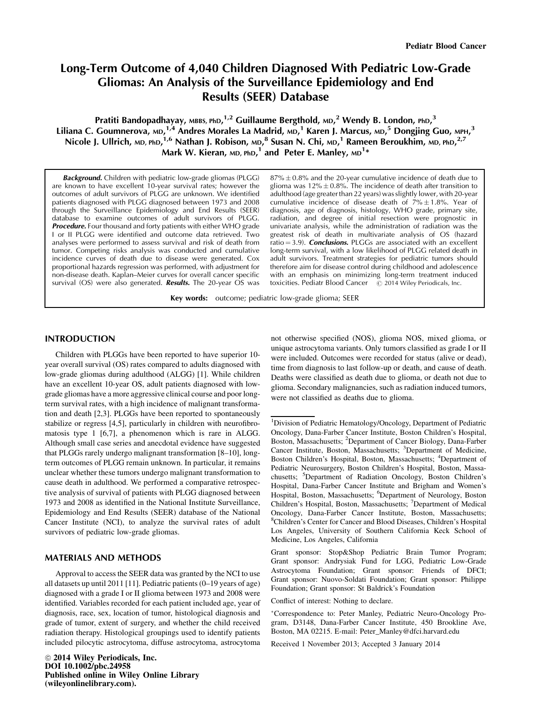# Long-Term Outcome of 4,040 Children Diagnosed With Pediatric Low-Grade Gliomas: An Analysis of the Surveillance Epidemiology and End Results (SEER) Database

Pratiti Bandopadhayay, MBBS, PhD,  $^{1,2}$  Guillaume Bergthold, MD,  $^2$  Wendy B. London, PhD,  $^3$ Liliana C. Goumnerova, мd, <sup>1,4</sup> Andres Morales La Madrid, мd, <sup>1</sup> Karen J. Marcus, мd, <sup>5</sup> Dongjing Guo, мрн, <sup>3</sup> Nicole J. Ullrich, мо, PhD, <sup>1,6</sup> Nathan J. Robison, мо, <sup>8</sup> Susan N. Chi, мо, <sup>1</sup> Rameen Beroukhim, мо, PhD, <sup>2, 7</sup> Mark W. Kieran, мр, <sup>р</sup>һр,  $^1$  and Peter E. Manley, мр $^{1*}$ 

**Background.** Children with pediatric low-grade gliomas (PLGG) are known to have excellent 10-year survival rates; however the outcomes of adult survivors of PLGG are unknown. We identified patients diagnosed with PLGG diagnosed between 1973 and 2008 through the Surveillance Epidemiology and End Results (SEER) database to examine outcomes of adult survivors of PLGG. **Procedure.** Four thousand and forty patients with either WHO grade I or II PLGG were identified and outcome data retrieved. Two analyses were performed to assess survival and risk of death from tumor. Competing risks analysis was conducted and cumulative incidence curves of death due to disease were generated. Cox proportional hazards regression was performed, with adjustment for non-disease death. Kaplan–Meier curves for overall cancer specific survival (OS) were also generated. Results. The 20-year OS was

 $87\% \pm 0.8\%$  and the 20-year cumulative incidence of death due to glioma was  $12\% \pm 0.8\%$ . The incidence of death after transition to adulthood (age greater than 22 years) was slightly lower, with 20-year cumulative incidence of disease death of  $7\% \pm 1.8\%$ . Year of diagnosis, age of diagnosis, histology, WHO grade, primary site, radiation, and degree of initial resection were prognostic in univariate analysis, while the administration of radiation was the greatest risk of death in multivariate analysis of OS (hazard  $ratio = 3.9$ ). **Conclusions.** PLGGs are associated with an excellent long-term survival, with a low likelihood of PLGG related death in adult survivors. Treatment strategies for pediatric tumors should therefore aim for disease control during childhood and adolescence with an emphasis on minimizing long-term treatment induced toxicities. Pediatr Blood Cancer  $\circledcirc$  2014 Wiley Periodicals, Inc.

Key words: outcome; pediatric low-grade glioma; SEER

# INTRODUCTION

Children with PLGGs have been reported to have superior 10 year overall survival (OS) rates compared to adults diagnosed with low-grade gliomas during adulthood (ALGG) [1]. While children have an excellent 10-year OS, adult patients diagnosed with lowgrade gliomas have a more aggressive clinical course and poor longterm survival rates, with a high incidence of malignant transformation and death [2,3]. PLGGs have been reported to spontaneously stabilize or regress [4,5], particularly in children with neurofibromatosis type 1 [6,7], a phenomenon which is rare in ALGG. Although small case series and anecdotal evidence have suggested that PLGGs rarely undergo malignant transformation [8–10], longterm outcomes of PLGG remain unknown. In particular, it remains unclear whether these tumors undergo malignant transformation to cause death in adulthood. We performed a comparative retrospective analysis of survival of patients with PLGG diagnosed between 1973 and 2008 as identified in the National Institute Surveillance, Epidemiology and End Results (SEER) database of the National Cancer Institute (NCI), to analyze the survival rates of adult survivors of pediatric low-grade gliomas.

# MATERIALS AND METHODS

Approval to access the SEER data was granted by the NCI to use all datasets up until 2011 [11]. Pediatric patients (0–19 years of age) diagnosed with a grade I or II glioma between 1973 and 2008 were identified. Variables recorded for each patient included age, year of diagnosis, race, sex, location of tumor, histological diagnosis and grade of tumor, extent of surgery, and whether the child received radiation therapy. Histological groupings used to identify patients included pilocytic astrocytoma, diffuse astrocytoma, astrocytoma

 $\odot$  2014 Wiley Periodicals, Inc. DOI 10.1002/pbc.24958 Published online in Wiley Online Library (wileyonlinelibrary.com).

not otherwise specified (NOS), glioma NOS, mixed glioma, or unique astrocytoma variants. Only tumors classified as grade I or II were included. Outcomes were recorded for status (alive or dead), time from diagnosis to last follow-up or death, and cause of death. Deaths were classified as death due to glioma, or death not due to glioma. Secondary malignancies, such as radiation induced tumors, were not classified as deaths due to glioma.

Grant sponsor: Stop&Shop Pediatric Brain Tumor Program; Grant sponsor: Andrysiak Fund for LGG, Pediatric Low-Grade Astrocytoma Foundation; Grant sponsor: Friends of DFCI; Grant sponsor: Nuovo-Soldati Foundation; Grant sponsor: Philippe Foundation; Grant sponsor: St Baldrick's Foundation

Conflict of interest: Nothing to declare.

#Correspondence to: Peter Manley, Pediatric Neuro-Oncology Program, D3148, Dana-Farber Cancer Institute, 450 Brookline Ave, Boston, MA 02215. E-mail: Peter\_Manley@dfci.harvard.edu

Received 1 November 2013; Accepted 3 January 2014

<sup>&</sup>lt;sup>1</sup>Division of Pediatric Hematology/Oncology, Department of Pediatric Oncology, Dana-Farber Cancer Institute, Boston Children's Hospital, Boston, Massachusetts; <sup>2</sup>Department of Cancer Biology, Dana-Farber Cancer Institute, Boston, Massachusetts; <sup>3</sup>Department of Medicine, Boston Children's Hospital, Boston, Massachusetts; <sup>4</sup>Department of Pediatric Neurosurgery, Boston Children's Hospital, Boston, Massachusetts; <sup>5</sup>Department of Radiation Oncology, Boston Children's Hospital, Dana-Farber Cancer Institute and Brigham and Women's Hospital, Boston, Massachusetts; <sup>6</sup>Department of Neurology, Boston Children's Hospital, Boston, Massachusetts; <sup>7</sup>Department of Medical Oncology, Dana-Farber Cancer Institute, Boston, Massachusetts; 8 Children's Center for Cancer and Blood Diseases, Children's Hospital Los Angeles, University of Southern California Keck School of Medicine, Los Angeles, California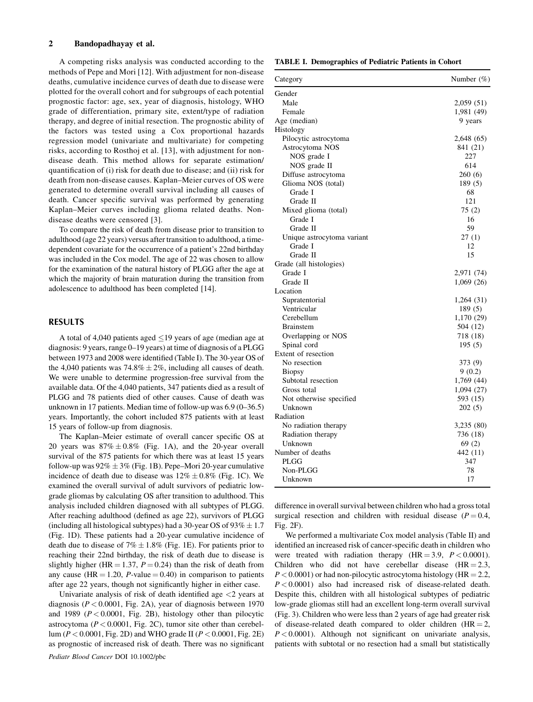#### 2 Bandopadhayay et al.

A competing risks analysis was conducted according to the methods of Pepe and Mori [12]. With adjustment for non-disease deaths, cumulative incidence curves of death due to disease were plotted for the overall cohort and for subgroups of each potential prognostic factor: age, sex, year of diagnosis, histology, WHO grade of differentiation, primary site, extent/type of radiation therapy, and degree of initial resection. The prognostic ability of the factors was tested using a Cox proportional hazards regression model (univariate and multivariate) for competing risks, according to Rosthoj et al. [13], with adjustment for nondisease death. This method allows for separate estimation/ quantification of (i) risk for death due to disease; and (ii) risk for death from non-disease causes. Kaplan–Meier curves of OS were generated to determine overall survival including all causes of death. Cancer specific survival was performed by generating Kaplan–Meier curves including glioma related deaths. Nondisease deaths were censored [3].

To compare the risk of death from disease prior to transition to adulthood (age 22 years) versus after transition to adulthood, a timedependent covariate for the occurrence of a patient's 22nd birthday was included in the Cox model. The age of 22 was chosen to allow for the examination of the natural history of PLGG after the age at which the majority of brain maturation during the transition from adolescence to adulthood has been completed [14].

#### RESULTS

A total of 4,040 patients aged  $\leq$ 19 years of age (median age at diagnosis: 9 years, range 0–19 years) at time of diagnosis of a PLGG between 1973 and 2008 were identified (Table I). The 30-year OS of the 4,040 patients was  $74.8\% \pm 2\%$ , including all causes of death. We were unable to determine progression-free survival from the available data. Of the 4,040 patients, 347 patients died as a result of PLGG and 78 patients died of other causes. Cause of death was unknown in 17 patients. Median time of follow-up was 6.9 (0–36.5) years. Importantly, the cohort included 875 patients with at least 15 years of follow-up from diagnosis.

The Kaplan–Meier estimate of overall cancer specific OS at 20 years was  $87\% \pm 0.8\%$  (Fig. 1A), and the 20-year overall survival of the 875 patients for which there was at least 15 years follow-up was  $92\% \pm 3\%$  (Fig. 1B). Pepe–Mori 20-year cumulative incidence of death due to disease was  $12\% \pm 0.8\%$  (Fig. 1C). We examined the overall survival of adult survivors of pediatric lowgrade gliomas by calculating OS after transition to adulthood. This analysis included children diagnosed with all subtypes of PLGG. After reaching adulthood (defined as age 22), survivors of PLGG (including all histological subtypes) had a 30-year OS of  $93\% \pm 1.7$ (Fig. 1D). These patients had a 20-year cumulative incidence of death due to disease of  $7\% \pm 1.8\%$  (Fig. 1E). For patients prior to reaching their 22nd birthday, the risk of death due to disease is slightly higher (HR = 1.37,  $P = 0.24$ ) than the risk of death from any cause (HR  $= 1.20$ , *P*-value  $= 0.40$ ) in comparison to patients after age 22 years, though not significantly higher in either case.

Univariate analysis of risk of death identified age <2 years at diagnosis ( $P < 0.0001$ , Fig. 2A), year of diagnosis between 1970 and 1989 ( $P < 0.0001$ , Fig. 2B), histology other than pilocytic astrocytoma ( $P < 0.0001$ , Fig. 2C), tumor site other than cerebellum ( $P < 0.0001$ , Fig. 2D) and WHO grade II ( $P < 0.0001$ , Fig. 2E) as prognostic of increased risk of death. There was no significant TABLE I. Demographics of Pediatric Patients in Cohort

| Category                   | Number $(\%)$ |
|----------------------------|---------------|
| Gender                     |               |
| Male                       | 2,059(51)     |
| Female                     | 1,981 (49)    |
| Age (median)               | 9 years       |
| Histology                  |               |
| Pilocytic astrocytoma      | 2,648 (65)    |
| Astrocytoma NOS            | 841 (21)      |
| NOS grade I                | 227           |
| NOS grade II               | 614           |
| Diffuse astrocytoma        | 260 (6)       |
| Glioma NOS (total)         | 189(5)        |
| Grade I                    | 68            |
| Grade II                   | 121           |
| Mixed glioma (total)       | 75(2)         |
| Grade I                    | 16            |
| Grade II                   | 59            |
| Unique astrocytoma variant | 27(1)         |
| Grade I                    | 12            |
| Grade II                   | 15            |
| Grade (all histologies)    |               |
| Grade I                    | 2,971 (74)    |
| Grade II                   | 1,069(26)     |
| Location                   |               |
| Supratentorial             | 1,264 (31)    |
| Ventricular                | 189 (5)       |
| Cerebellum                 | 1,170 (29)    |
| <b>Brainstem</b>           | 504 (12)      |
| Overlapping or NOS         | 718 (18)      |
| Spinal cord                | 195(5)        |
| Extent of resection        |               |
| No resection               | 373 (9)       |
| <b>Biopsy</b>              | 9(0.2)        |
| Subtotal resection         | 1,769 (44)    |
| Gross total                | 1,094(27)     |
| Not otherwise specified    | 593 (15)      |
| Unknown                    | 202(5)        |
| Radiation                  |               |
| No radiation therapy       | 3,235(80)     |
| Radiation therapy          | 736 (18)      |
| Unknown                    | 69(2)         |
| Number of deaths           | 442 (11)      |
| PLGG                       | 347           |
| Non-PLGG                   | 78            |
| Unknown                    | 17            |

difference in overall survival between children who had a gross total surgical resection and children with residual disease  $(P = 0.4,$ Fig. 2F).

We performed a multivariate Cox model analysis (Table II) and identified an increased risk of cancer-specific death in children who were treated with radiation therapy  $(HR = 3.9, P < 0.0001)$ . Children who did not have cerebellar disease  $(HR = 2.3,$  $P < 0.0001$ ) or had non-pilocytic astrocytoma histology (HR = 2.2,  $P < 0.0001$ ) also had increased risk of disease-related death. Despite this, children with all histological subtypes of pediatric low-grade gliomas still had an excellent long-term overall survival (Fig. 3). Children who were less than 2 years of age had greater risk of disease-related death compared to older children  $(HR = 2,$  $P < 0.0001$ ). Although not significant on univariate analysis, patients with subtotal or no resection had a small but statistically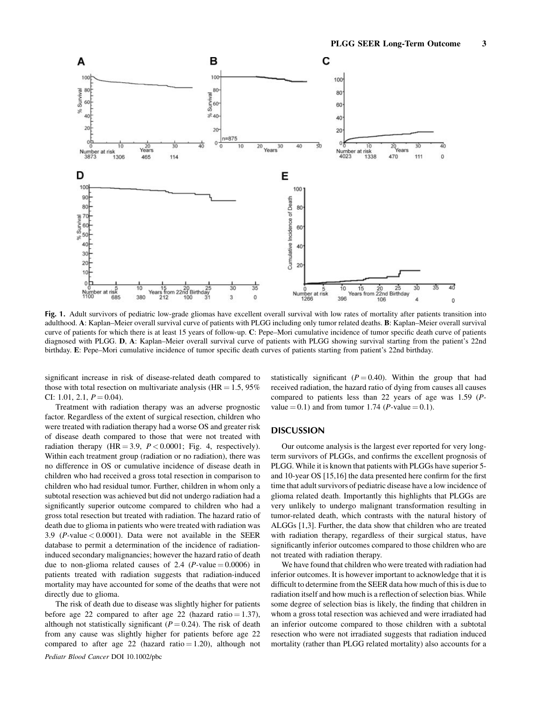

Fig. 1. Adult survivors of pediatric low-grade gliomas have excellent overall survival with low rates of mortality after patients transition into adulthood. A: Kaplan–Meier overall survival curve of patients with PLGG including only tumor related deaths. B: Kaplan–Meier overall survival curve of patients for which there is at least 15 years of follow-up. C: Pepe–Mori cumulative incidence of tumor specific death curve of patients diagnosed with PLGG. D, A: Kaplan–Meier overall survival curve of patients with PLGG showing survival starting from the patient's 22nd birthday. E: Pepe–Mori cumulative incidence of tumor specific death curves of patients starting from patient's 22nd birthday.

significant increase in risk of disease-related death compared to those with total resection on multivariate analysis ( $HR = 1.5$ , 95%) CI: 1.01, 2.1,  $P = 0.04$ ).

Treatment with radiation therapy was an adverse prognostic factor. Regardless of the extent of surgical resection, children who were treated with radiation therapy had a worse OS and greater risk of disease death compared to those that were not treated with radiation therapy  $(HR = 3.9, P < 0.0001;$  Fig. 4, respectively). Within each treatment group (radiation or no radiation), there was no difference in OS or cumulative incidence of disease death in children who had received a gross total resection in comparison to children who had residual tumor. Further, children in whom only a subtotal resection was achieved but did not undergo radiation had a significantly superior outcome compared to children who had a gross total resection but treated with radiation. The hazard ratio of death due to glioma in patients who were treated with radiation was 3.9 (P-value < 0.0001). Data were not available in the SEER database to permit a determination of the incidence of radiationinduced secondary malignancies; however the hazard ratio of death due to non-glioma related causes of 2.4 (P-value  $= 0.0006$ ) in patients treated with radiation suggests that radiation-induced mortality may have accounted for some of the deaths that were not directly due to glioma.

The risk of death due to disease was slightly higher for patients before age 22 compared to after age 22 (hazard ratio  $= 1.37$ ), although not statistically significant ( $P = 0.24$ ). The risk of death from any cause was slightly higher for patients before age 22 compared to after age 22 (hazard ratio  $= 1.20$ ), although not Pediatr Blood Cancer DOI 10.1002/pbc

statistically significant ( $P = 0.40$ ). Within the group that had received radiation, the hazard ratio of dying from causes all causes compared to patients less than 22 years of age was 1.59 (Pvalue  $= 0.1$ ) and from tumor 1.74 (*P*-value  $= 0.1$ ).

### **DISCUSSION**

Our outcome analysis is the largest ever reported for very longterm survivors of PLGGs, and confirms the excellent prognosis of PLGG. While it is known that patients with PLGGs have superior 5 and 10-year OS [15,16] the data presented here confirm for the first time that adult survivors of pediatric disease have a low incidence of glioma related death. Importantly this highlights that PLGGs are very unlikely to undergo malignant transformation resulting in tumor-related death, which contrasts with the natural history of ALGGs [1,3]. Further, the data show that children who are treated with radiation therapy, regardless of their surgical status, have significantly inferior outcomes compared to those children who are not treated with radiation therapy.

We have found that children who were treated with radiation had inferior outcomes. It is however important to acknowledge that it is difficult to determine from the SEER data how much of this is due to radiation itself and how much is a reflection of selection bias. While some degree of selection bias is likely, the finding that children in whom a gross total resection was achieved and were irradiated had an inferior outcome compared to those children with a subtotal resection who were not irradiated suggests that radiation induced mortality (rather than PLGG related mortality) also accounts for a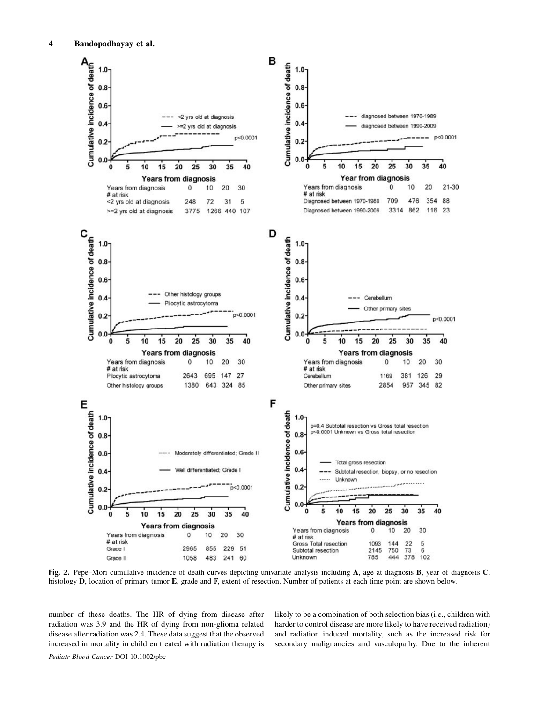

Fig. 2. Pepe–Mori cumulative incidence of death curves depicting univariate analysis including A, age at diagnosis B, year of diagnosis C, histology **D**, location of primary tumor **E**, grade and **F**, extent of resection. Number of patients at each time point are shown below.

number of these deaths. The HR of dying from disease after radiation was 3.9 and the HR of dying from non-glioma related disease after radiation was 2.4. These data suggest that the observed increased in mortality in children treated with radiation therapy is Pediatr Blood Cancer DOI 10.1002/pbc

likely to be a combination of both selection bias (i.e., children with harder to control disease are more likely to have received radiation) and radiation induced mortality, such as the increased risk for secondary malignancies and vasculopathy. Due to the inherent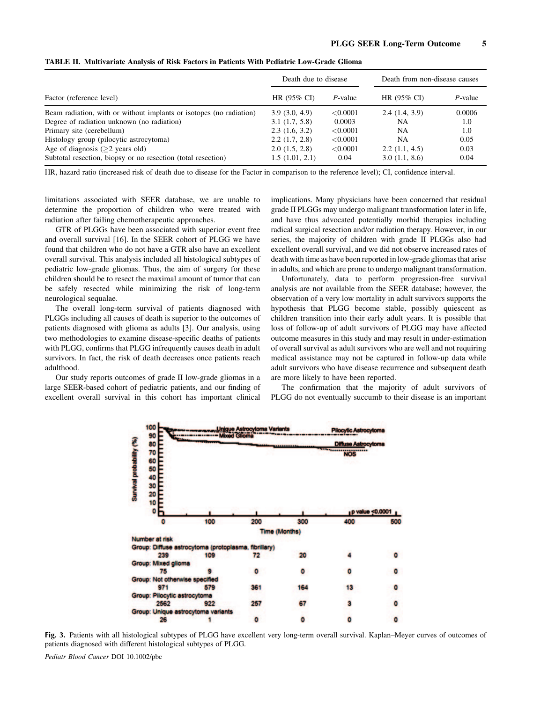| Factor (reference level)                                            | Death due to disease |            | Death from non-disease causes |            |
|---------------------------------------------------------------------|----------------------|------------|-------------------------------|------------|
|                                                                     | HR (95% CI)          | $P$ -value | $HR (95\% CI)$                | $P$ -value |
| Beam radiation, with or without implants or isotopes (no radiation) | 3.9(3.0, 4.9)        | < 0.0001   | 2.4(1.4, 3.9)                 | 0.0006     |
| Degree of radiation unknown (no radiation)                          | 3.1(1.7, 5.8)        | 0.0003     | NA                            | 1.0        |
| Primary site (cerebellum)                                           | 2.3(1.6, 3.2)        | < 0.0001   | <b>NA</b>                     | 1.0        |
| Histology group (pilocytic astrocytoma)                             | 2.2(1.7, 2.8)        | < 0.0001   | <b>NA</b>                     | 0.05       |
| Age of diagnosis $(>2$ years old)                                   | 2.0(1.5, 2.8)        | < 0.0001   | 2.2(1.1, 4.5)                 | 0.03       |
| Subtotal resection, biopsy or no resection (total resection)        | 1.5(1.01, 2.1)       | 0.04       | 3.0(1.1, 8.6)                 | 0.04       |

TABLE II. Multivariate Analysis of Risk Factors in Patients With Pediatric Low-Grade Glioma

HR, hazard ratio (increased risk of death due to disease for the Factor in comparison to the reference level); CI, confidence interval.

limitations associated with SEER database, we are unable to determine the proportion of children who were treated with radiation after failing chemotherapeutic approaches.

GTR of PLGGs have been associated with superior event free and overall survival [16]. In the SEER cohort of PLGG we have found that children who do not have a GTR also have an excellent overall survival. This analysis included all histological subtypes of pediatric low-grade gliomas. Thus, the aim of surgery for these children should be to resect the maximal amount of tumor that can be safely resected while minimizing the risk of long-term neurological sequalae.

The overall long-term survival of patients diagnosed with PLGGs including all causes of death is superior to the outcomes of patients diagnosed with glioma as adults [3]. Our analysis, using two methodologies to examine disease-specific deaths of patients with PLGG, confirms that PLGG infrequently causes death in adult survivors. In fact, the risk of death decreases once patients reach adulthood.

Our study reports outcomes of grade II low-grade gliomas in a large SEER-based cohort of pediatric patients, and our finding of excellent overall survival in this cohort has important clinical implications. Many physicians have been concerned that residual grade II PLGGs may undergo malignant transformation later in life, and have thus advocated potentially morbid therapies including radical surgical resection and/or radiation therapy. However, in our series, the majority of children with grade II PLGGs also had excellent overall survival, and we did not observe increased rates of death with time as have been reported in low-grade gliomas that arise in adults, and which are prone to undergo malignant transformation.

Unfortunately, data to perform progression-free survival analysis are not available from the SEER database; however, the observation of a very low mortality in adult survivors supports the hypothesis that PLGG become stable, possibly quiescent as children transition into their early adult years. It is possible that loss of follow-up of adult survivors of PLGG may have affected outcome measures in this study and may result in under-estimation of overall survival as adult survivors who are well and not requiring medical assistance may not be captured in follow-up data while adult survivors who have disease recurrence and subsequent death are more likely to have been reported.

The confirmation that the majority of adult survivors of PLGG do not eventually succumb to their disease is an important



Fig. 3. Patients with all histological subtypes of PLGG have excellent very long-term overall survival. Kaplan–Meyer curves of outcomes of patients diagnosed with different histological subtypes of PLGG.

Pediatr Blood Cancer DOI 10.1002/pbc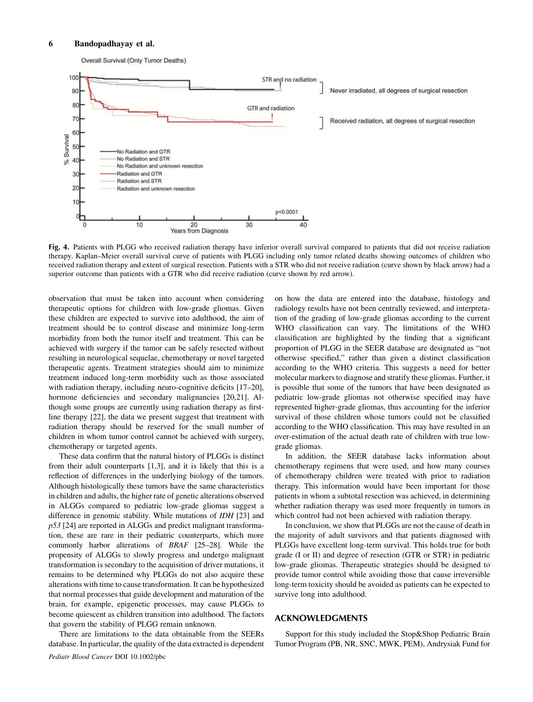#### 6 Bandopadhayay et al.



Fig. 4. Patients with PLGG who received radiation therapy have inferior overall survival compared to patients that did not receive radiation therapy. Kaplan–Meier overall survival curve of patients with PLGG including only tumor related deaths showing outcomes of children who received radiation therapy and extent of surgical resection. Patients with a STR who did not receive radiation (curve shown by black arrow) had a superior outcome than patients with a GTR who did receive radiation (curve shown by red arrow).

observation that must be taken into account when considering therapeutic options for children with low-grade gliomas. Given these children are expected to survive into adulthood, the aim of treatment should be to control disease and minimize long-term morbidity from both the tumor itself and treatment. This can be achieved with surgery if the tumor can be safely resected without resulting in neurological sequelae, chemotherapy or novel targeted therapeutic agents. Treatment strategies should aim to minimize treatment induced long-term morbidity such as those associated with radiation therapy, including neuro-cognitive deficits [17–20], hormone deficiencies and secondary malignancies [20,21]. Although some groups are currently using radiation therapy as firstline therapy [22], the data we present suggest that treatment with radiation therapy should be reserved for the small number of children in whom tumor control cannot be achieved with surgery, chemotherapy or targeted agents.

These data confirm that the natural history of PLGGs is distinct from their adult counterparts [1,3], and it is likely that this is a reflection of differences in the underlying biology of the tumors. Although histologically these tumors have the same characteristics in children and adults, the higher rate of genetic alterations observed in ALGGs compared to pediatric low-grade gliomas suggest a difference in genomic stability. While mutations of IDH [23] and p53 [24] are reported in ALGGs and predict malignant transformation, these are rare in their pediatric counterparts, which more commonly harbor alterations of BRAF [25–28]. While the propensity of ALGGs to slowly progress and undergo malignant transformation is secondary to the acquisition of driver mutations, it remains to be determined why PLGGs do not also acquire these alterations with time to cause transformation. It can be hypothesized that normal processes that guide development and maturation of the brain, for example, epigenetic processes, may cause PLGGs to become quiescent as children transition into adulthood. The factors that govern the stability of PLGG remain unknown.

There are limitations to the data obtainable from the SEERs database. In particular, the quality of the data extracted is dependent Pediatr Blood Cancer DOI 10.1002/pbc

on how the data are entered into the database, histology and radiology results have not been centrally reviewed, and interpretation of the grading of low-grade gliomas according to the current WHO classification can vary. The limitations of the WHO classification are highlighted by the finding that a significant proportion of PLGG in the SEER database are designated as "not otherwise specified," rather than given a distinct classification according to the WHO criteria. This suggests a need for better molecular markers to diagnose and stratify these gliomas. Further, it is possible that some of the tumors that have been designated as pediatric low-grade gliomas not otherwise specified may have represented higher-grade gliomas, thus accounting for the inferior survival of those children whose tumors could not be classified according to the WHO classification. This may have resulted in an over-estimation of the actual death rate of children with true lowgrade gliomas.

In addition, the SEER database lacks information about chemotherapy regimens that were used, and how many courses of chemotherapy children were treated with prior to radiation therapy. This information would have been important for those patients in whom a subtotal resection was achieved, in determining whether radiation therapy was used more frequently in tumors in which control had not been achieved with radiation therapy.

In conclusion, we show that PLGGs are not the cause of death in the majority of adult survivors and that patients diagnosed with PLGGs have excellent long-term survival. This holds true for both grade (I or II) and degree of resection (GTR or STR) in pediatric low-grade gliomas. Therapeutic strategies should be designed to provide tumor control while avoiding those that cause irreversible long-term toxicity should be avoided as patients can be expected to survive long into adulthood.

## ACKNOWLEDGMENTS

Support for this study included the Stop&Shop Pediatric Brain Tumor Program (PB, NR, SNC, MWK, PEM), Andrysiak Fund for